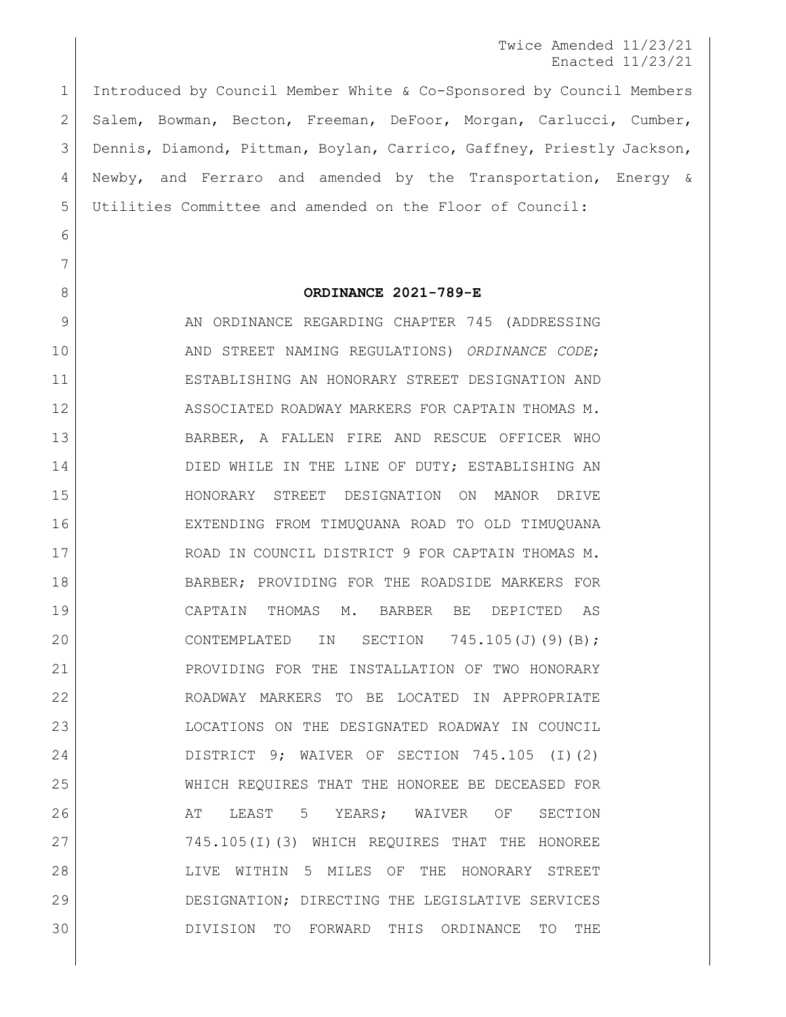Twice Amended 11/23/21 Enacted 11/23/21

 Introduced by Council Member White & Co-Sponsored by Council Members Salem, Bowman, Becton, Freeman, DeFoor, Morgan, Carlucci, Cumber, Dennis, Diamond, Pittman, Boylan, Carrico, Gaffney, Priestly Jackson, Newby, and Ferraro and amended by the Transportation, Energy & Utilities Committee and amended on the Floor of Council:

## 

## **ORDINANCE 2021-789-E**

9 AN ORDINANCE REGARDING CHAPTER 745 (ADDRESSING AND STREET NAMING REGULATIONS) *ORDINANCE CODE*; ESTABLISHING AN HONORARY STREET DESIGNATION AND ASSOCIATED ROADWAY MARKERS FOR CAPTAIN THOMAS M. BARBER, A FALLEN FIRE AND RESCUE OFFICER WHO 14 DIED WHILE IN THE LINE OF DUTY; ESTABLISHING AN HONORARY STREET DESIGNATION ON MANOR DRIVE EXTENDING FROM TIMUQUANA ROAD TO OLD TIMUQUANA ROAD IN COUNCIL DISTRICT 9 FOR CAPTAIN THOMAS M. BARBER; PROVIDING FOR THE ROADSIDE MARKERS FOR CAPTAIN THOMAS M. BARBER BE DEPICTED AS 20 CONTEMPLATED IN SECTION 745.105(J)(9)(B); PROVIDING FOR THE INSTALLATION OF TWO HONORARY ROADWAY MARKERS TO BE LOCATED IN APPROPRIATE LOCATIONS ON THE DESIGNATED ROADWAY IN COUNCIL DISTRICT 9; WAIVER OF SECTION 745.105 (I)(2) WHICH REQUIRES THAT THE HONOREE BE DECEASED FOR 26 AT LEAST 5 YEARS; WAIVER OF SECTION 27 745.105(I)(3) WHICH REQUIRES THAT THE HONOREE LIVE WITHIN 5 MILES OF THE HONORARY STREET DESIGNATION; DIRECTING THE LEGISLATIVE SERVICES DIVISION TO FORWARD THIS ORDINANCE TO THE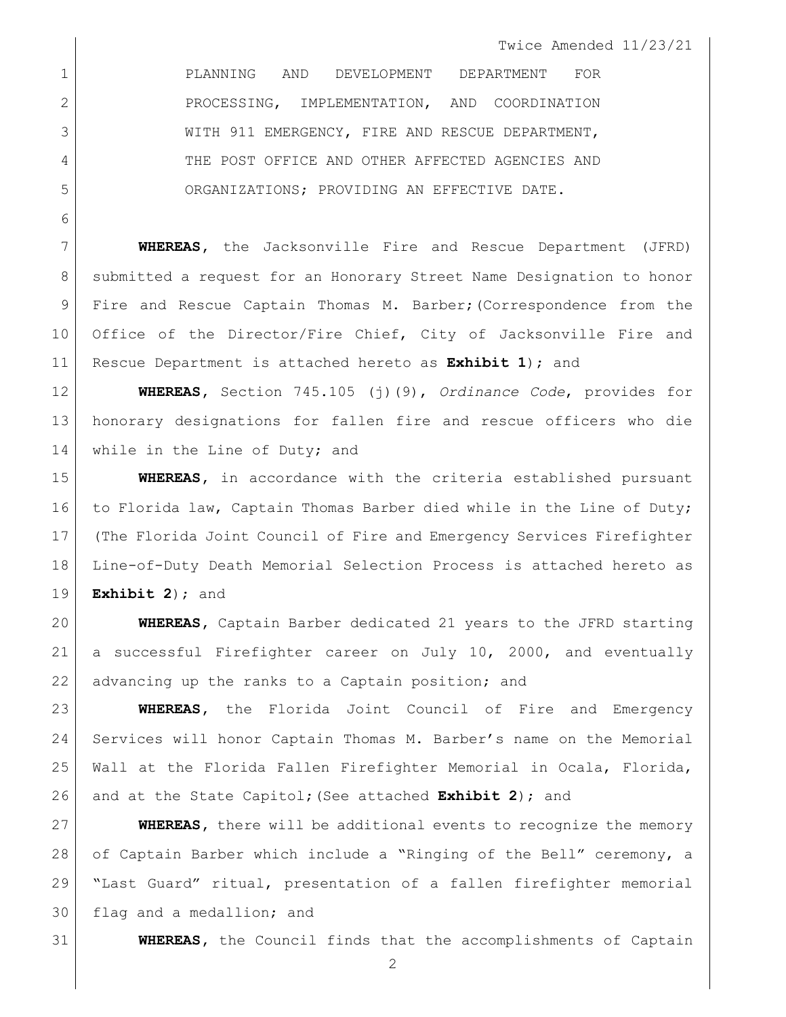Twice Amended 11/23/21

 PLANNING AND DEVELOPMENT DEPARTMENT FOR 2 PROCESSING, IMPLEMENTATION, AND COORDINATION 3 WITH 911 EMERGENCY, FIRE AND RESCUE DEPARTMENT, 4 THE POST OFFICE AND OTHER AFFECTED AGENCIES AND ORGANIZATIONS; PROVIDING AN EFFECTIVE DATE.

 **WHEREAS,** the Jacksonville Fire and Rescue Department (JFRD) 8 | submitted a request for an Honorary Street Name Designation to honor Fire and Rescue Captain Thomas M. Barber;(Correspondence from the 10 Office of the Director/Fire Chief, City of Jacksonville Fire and Rescue Department is attached hereto as **Exhibit 1**); and

 **WHEREAS,** Section 745.105 (j)(9), *Ordinance Code*, provides for honorary designations for fallen fire and rescue officers who die 14 | while in the Line of Duty; and

 **WHEREAS,** in accordance with the criteria established pursuant 16 to Florida law, Captain Thomas Barber died while in the Line of Duty; (The Florida Joint Council of Fire and Emergency Services Firefighter Line-of-Duty Death Memorial Selection Process is attached hereto as **Exhibit 2**); and

 **WHEREAS,** Captain Barber dedicated 21 years to the JFRD starting a successful Firefighter career on July 10, 2000, and eventually 22 advancing up the ranks to a Captain position; and

 **WHEREAS,** the Florida Joint Council of Fire and Emergency Services will honor Captain Thomas M. Barber's name on the Memorial Wall at the Florida Fallen Firefighter Memorial in Ocala, Florida, and at the State Capitol;(See attached **Exhibit 2**); and

 **WHEREAS,** there will be additional events to recognize the memory 28 of Captain Barber which include a "Ringing of the Bell" ceremony, a "Last Guard" ritual, presentation of a fallen firefighter memorial flag and a medallion; and

**WHEREAS,** the Council finds that the accomplishments of Captain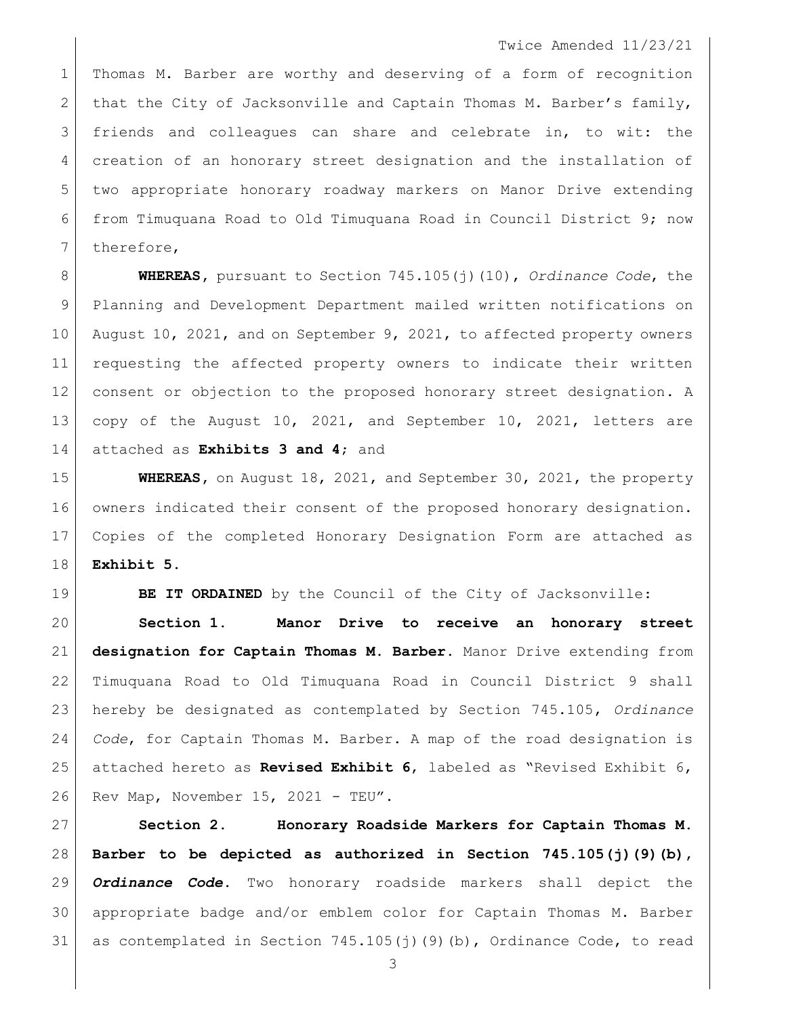## Twice Amended 11/23/21

 Thomas M. Barber are worthy and deserving of a form of recognition 2 that the City of Jacksonville and Captain Thomas M. Barber's family, friends and colleagues can share and celebrate in, to wit: the creation of an honorary street designation and the installation of two appropriate honorary roadway markers on Manor Drive extending from Timuquana Road to Old Timuquana Road in Council District 9; now 7 therefore,

 **WHEREAS,** pursuant to Section 745.105(j)(10), *Ordinance Code*, the Planning and Development Department mailed written notifications on 10 August 10, 2021, and on September 9, 2021, to affected property owners requesting the affected property owners to indicate their written consent or objection to the proposed honorary street designation. A copy of the August 10, 2021, and September 10, 2021, letters are attached as **Exhibits 3 and 4**; and

 **WHEREAS,** on August 18, 2021, and September 30, 2021, the property owners indicated their consent of the proposed honorary designation. Copies of the completed Honorary Designation Form are attached as **Exhibit 5**.

**BE IT ORDAINED** by the Council of the City of Jacksonville:

 **Section 1. Manor Drive to receive an honorary street designation for Captain Thomas M. Barber.** Manor Drive extending from Timuquana Road to Old Timuquana Road in Council District 9 shall hereby be designated as contemplated by Section 745.105, *Ordinance Code*, for Captain Thomas M. Barber. A map of the road designation is attached hereto as **Revised Exhibit 6**, labeled as "Revised Exhibit 6, 26 Rev Map, November 15, 2021 - TEU".

 **Section 2. Honorary Roadside Markers for Captain Thomas M. Barber to be depicted as authorized in Section 745.105(j)(9)(b),**  *Ordinance Code***.** Two honorary roadside markers shall depict the appropriate badge and/or emblem color for Captain Thomas M. Barber 31 as contemplated in Section  $745.105(j)$  (9)(b), Ordinance Code, to read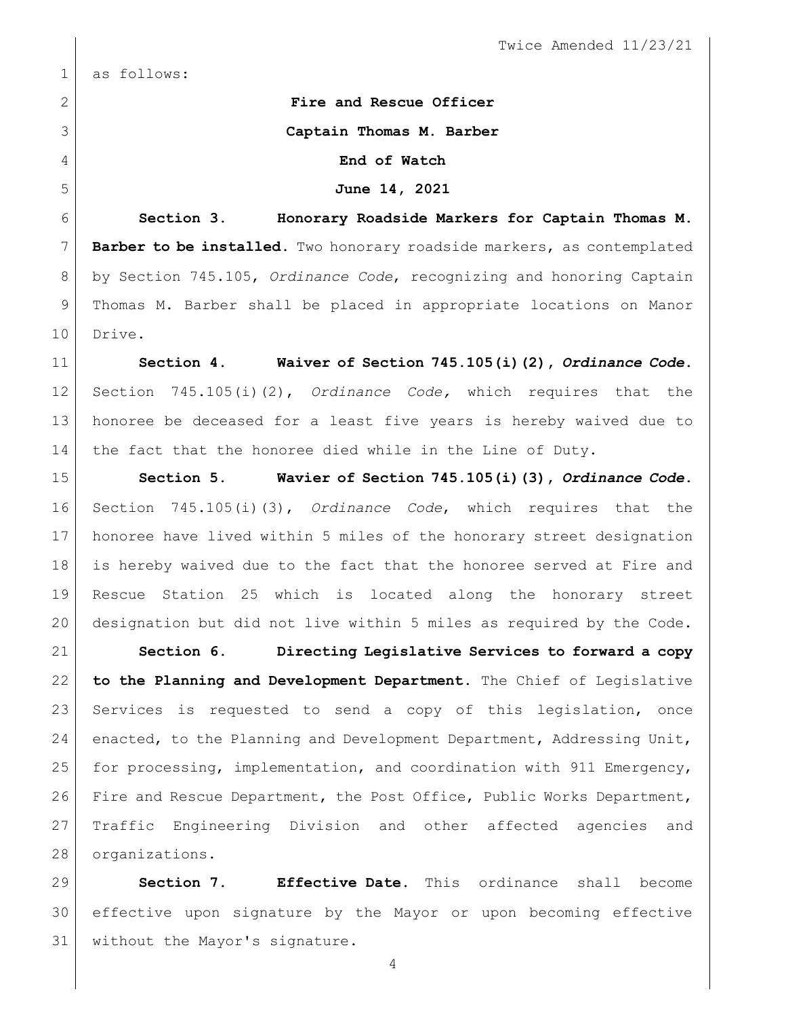Twice Amended 11/23/21

as follows:

 **Fire and Rescue Officer Captain Thomas M. Barber End of Watch June 14, 2021 Section 3. Honorary Roadside Markers for Captain Thomas M. Barber to be installed**. Two honorary roadside markers, as contemplated

 by Section 745.105, *Ordinance Code*, recognizing and honoring Captain Thomas M. Barber shall be placed in appropriate locations on Manor 10 Drive.

 **Section 4. Waiver of Section 745.105(i)(2),** *Ordinance Code***.**  Section 745.105(i)(2), *Ordinance Code,* which requires that the honoree be deceased for a least five years is hereby waived due to the fact that the honoree died while in the Line of Duty.

 **Section 5. Wavier of Section 745.105(i)(3),** *Ordinance Code***.** Section 745.105(i)(3), *Ordinance Code*, which requires that the honoree have lived within 5 miles of the honorary street designation is hereby waived due to the fact that the honoree served at Fire and Rescue Station 25 which is located along the honorary street designation but did not live within 5 miles as required by the Code.

 **Section 6. Directing Legislative Services to forward a copy to the Planning and Development Department.** The Chief of Legislative Services is requested to send a copy of this legislation, once enacted, to the Planning and Development Department, Addressing Unit, for processing, implementation, and coordination with 911 Emergency, 26 Fire and Rescue Department, the Post Office, Public Works Department, Traffic Engineering Division and other affected agencies and organizations.

 **Section 7. Effective Date.** This ordinance shall become effective upon signature by the Mayor or upon becoming effective without the Mayor's signature.